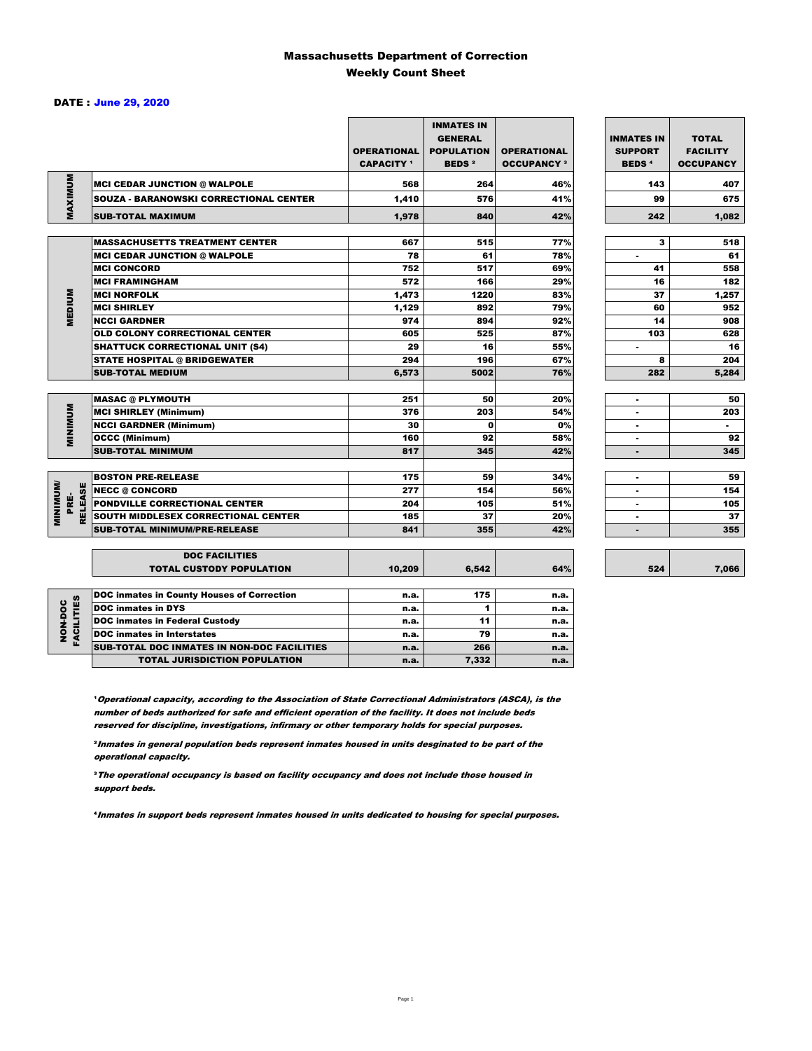### Massachusetts Department of Correction Weekly Count Sheet

### DATE : June 29, 2020

|                                   |                                               | <b>OPERATIONAL</b><br><b>CAPACITY</b> 1 | <b>INMATES IN</b><br><b>GENERAL</b><br><b>POPULATION</b><br><b>BEDS<sup>2</sup></b> | <b>OPERATIONAL</b><br><b>OCCUPANCY 3</b> | <b>INMATES IN</b><br><b>SUPPORT</b><br><b>BEDS<sup>4</sup></b> | <b>TOTAL</b><br><b>FACILITY</b><br><b>OCCUPANCY</b> |
|-----------------------------------|-----------------------------------------------|-----------------------------------------|-------------------------------------------------------------------------------------|------------------------------------------|----------------------------------------------------------------|-----------------------------------------------------|
|                                   | <b>MCI CEDAR JUNCTION @ WALPOLE</b>           | 568                                     | 264                                                                                 | 46%                                      | 143                                                            | 407                                                 |
|                                   | <b>SOUZA - BARANOWSKI CORRECTIONAL CENTER</b> | 1,410                                   | 576                                                                                 | 41%                                      | 99                                                             | 675                                                 |
| MAXIMUM                           | <b>SUB-TOTAL MAXIMUM</b>                      | 1,978                                   | 840                                                                                 | 42%                                      | 242                                                            | 1.082                                               |
|                                   |                                               |                                         |                                                                                     |                                          |                                                                |                                                     |
|                                   | <b>MASSACHUSETTS TREATMENT CENTER</b>         | 667                                     | 515                                                                                 | 77%                                      | 3                                                              | 518                                                 |
|                                   | <b>MCI CEDAR JUNCTION @ WALPOLE</b>           | 78                                      | 61                                                                                  | 78%                                      | ٠                                                              | 61                                                  |
|                                   | <b>MCI CONCORD</b>                            | 752                                     | 517                                                                                 | 69%                                      | 41                                                             | 558                                                 |
|                                   | <b>MCI FRAMINGHAM</b>                         | 572                                     | 166                                                                                 | 29%                                      | 16                                                             | 182                                                 |
| <b>MEDIUM</b>                     | <b>MCI NORFOLK</b>                            | 1,473                                   | 1220                                                                                | 83%                                      | 37                                                             | 1,257                                               |
|                                   | <b>MCI SHIRLEY</b>                            | 1,129                                   | 892                                                                                 | 79%                                      | 60                                                             | 952                                                 |
|                                   | <b>NCCI GARDNER</b>                           | 974                                     | 894                                                                                 | 92%                                      | 14                                                             | 908                                                 |
|                                   | <b>OLD COLONY CORRECTIONAL CENTER</b>         | 605                                     | 525                                                                                 | 87%                                      | 103                                                            | 628                                                 |
|                                   | <b>SHATTUCK CORRECTIONAL UNIT (S4)</b>        | 29                                      | 16                                                                                  | 55%                                      | ٠                                                              | 16                                                  |
|                                   | <b>STATE HOSPITAL @ BRIDGEWATER</b>           | 294                                     | 196                                                                                 | 67%                                      | 8                                                              | 204                                                 |
|                                   | <b>SUB-TOTAL MEDIUM</b>                       | 6,573                                   | 5002                                                                                | 76%                                      | 282                                                            | 5,284                                               |
|                                   | <b>MASAC @ PLYMOUTH</b>                       | 251                                     | 50                                                                                  | 20%                                      | ٠                                                              | 50                                                  |
| <b>MUNIMUM</b>                    | <b>MCI SHIRLEY (Minimum)</b>                  | 376                                     | 203                                                                                 | 54%                                      | ÷                                                              | 203                                                 |
|                                   | <b>NCCI GARDNER (Minimum)</b>                 | 30                                      | $\Omega$                                                                            | 0%                                       | $\blacksquare$                                                 | $\sim$                                              |
|                                   | <b>OCCC (Minimum)</b>                         | 160                                     | 92                                                                                  | 58%                                      | ٠                                                              | 92                                                  |
|                                   | <b>SUB-TOTAL MINIMUM</b>                      | 817                                     | 345                                                                                 | 42%                                      | ۰                                                              | 345                                                 |
|                                   |                                               |                                         |                                                                                     |                                          |                                                                |                                                     |
|                                   | <b>BOSTON PRE-RELEASE</b>                     | 175                                     | 59                                                                                  | 34%                                      | ٠                                                              | 59                                                  |
| <b>MINIMINU</b><br><b>RELEASE</b> | <b>NECC @ CONCORD</b>                         | 277                                     | 154                                                                                 | 56%                                      | ٠                                                              | 154                                                 |
| PRE-                              | <b>PONDVILLE CORRECTIONAL CENTER</b>          | 204                                     | 105                                                                                 | 51%                                      | ٠                                                              | 105                                                 |
|                                   | SOUTH MIDDLESEX CORRECTIONAL CENTER           | 185                                     | 37                                                                                  | 20%                                      | ٠                                                              | 37                                                  |
|                                   | <b>SUB-TOTAL MINIMUM/PRE-RELEASE</b>          | 841                                     | 355                                                                                 | 42%                                      |                                                                | 355                                                 |
|                                   | <b>DOC FACILITIES</b>                         |                                         |                                                                                     |                                          |                                                                |                                                     |
|                                   | <b>TOTAL CUSTODY POPULATION</b>               | 10,209                                  | 6,542                                                                               | 64%                                      | 524                                                            | 7,066                                               |
|                                   | DOC inmates in County Houses of Correction    | n.a.                                    | 175                                                                                 | n.a.                                     |                                                                |                                                     |
|                                   | <b>DOC</b> inmates in DYS                     | n.a.                                    | 1                                                                                   | n.a.                                     |                                                                |                                                     |
| <b>FACILITIES</b><br>NON-DOC      | <b>DOC inmates in Federal Custody</b>         | n.a.                                    | 11                                                                                  | n.a.                                     |                                                                |                                                     |
|                                   | <b>DOC</b> inmates in Interstates             | n.a.                                    | 79                                                                                  | n.a.                                     |                                                                |                                                     |
|                                   | CUR TOTAL BOO INIAATES IN NON BOO FAQUITIES   |                                         | $\sim$                                                                              |                                          |                                                                |                                                     |

7,066

**Operational capacity, according to the Association of State Correctional Administrators (ASCA), is the** number of beds authorized for safe and efficient operation of the facility. It does not include beds reserved for discipline, investigations, infirmary or other temporary holds for special purposes.

SUB-TOTAL DOC INMATES IN NON-DOC FACILITIES n.a. 266 n.a.

TOTAL JURISDICTION POPULATION **n.a.** 7,332 n.a.

²Inmates in general population beds represent inmates housed in units desginated to be part of the operational capacity.

³The operational occupancy is based on facility occupancy and does not include those housed in support beds.

⁴Inmates in support beds represent inmates housed in units dedicated to housing for special purposes.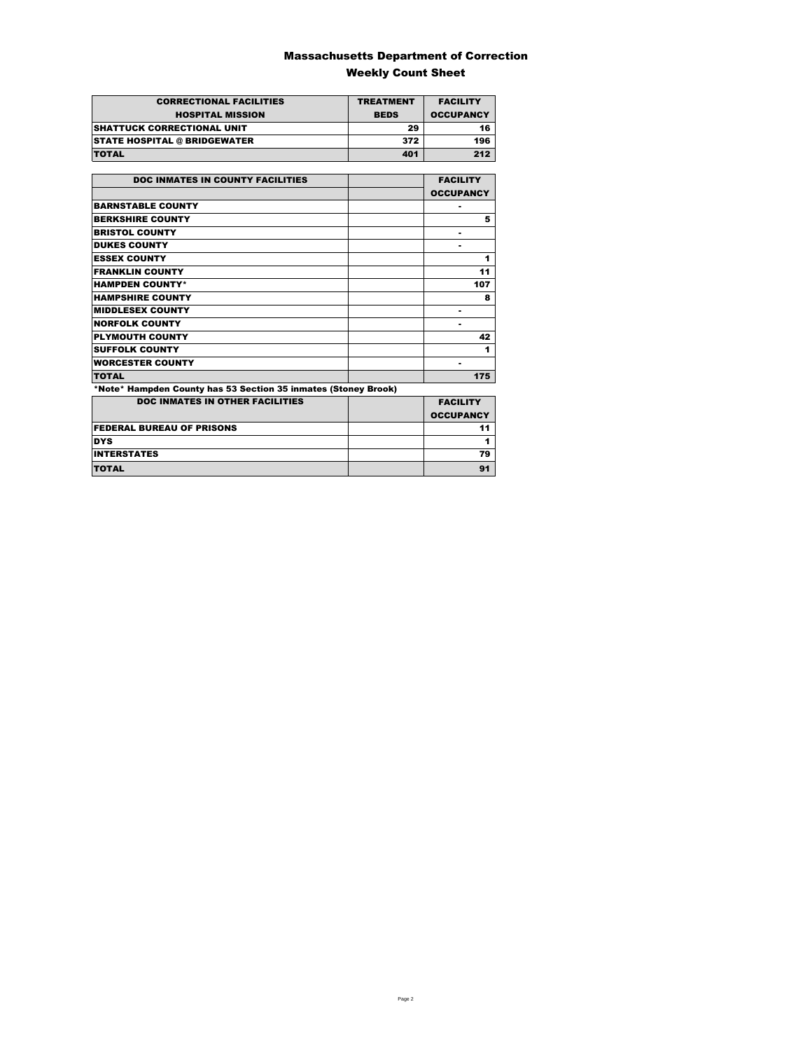### Massachusetts Department of Correction Weekly Count Sheet

| <b>CORRECTIONAL FACILITIES</b>      | <b>TREATMENT</b> | <b>FACILITY</b>  |
|-------------------------------------|------------------|------------------|
| <b>HOSPITAL MISSION</b>             | <b>BEDS</b>      | <b>OCCUPANCY</b> |
| <b>SHATTUCK CORRECTIONAL UNIT</b>   | 29               | 16               |
| <b>STATE HOSPITAL @ BRIDGEWATER</b> | 372              | 196              |
| <b>TOTAL</b>                        | 401              | 212              |

| <b>DOC INMATES IN COUNTY FACILITIES</b>                        | <b>FACILITY</b>  |
|----------------------------------------------------------------|------------------|
|                                                                | <b>OCCUPANCY</b> |
| <b>BARNSTABLE COUNTY</b>                                       | ۰                |
| <b>BERKSHIRE COUNTY</b>                                        | 5                |
| <b>BRISTOL COUNTY</b>                                          | ۰                |
| <b>DUKES COUNTY</b>                                            | ۰                |
| <b>ESSEX COUNTY</b>                                            | 1                |
| <b>FRANKLIN COUNTY</b>                                         | 11               |
| <b>HAMPDEN COUNTY*</b>                                         | 107              |
| <b>HAMPSHIRE COUNTY</b>                                        | 8                |
| <b>MIDDLESEX COUNTY</b>                                        | ۰                |
| <b>NORFOLK COUNTY</b>                                          |                  |
| <b>PLYMOUTH COUNTY</b>                                         | 42               |
| <b>SUFFOLK COUNTY</b>                                          | 1                |
| <b>WORCESTER COUNTY</b>                                        | ۰                |
| <b>TOTAL</b>                                                   | 175              |
| *Note* Hampden County has 53 Section 35 inmates (Stoney Brook) |                  |
| <b>DOC INMATES IN OTHER FACILITIES</b>                         | <b>FACILITY</b>  |
|                                                                | <b>OCCUPANCY</b> |
| <b>FEDERAL BUREAU OF PRISONS</b>                               | 11               |
| <b>DYS</b>                                                     | 1                |
|                                                                |                  |

INTERSTATES 79 TOTAL 91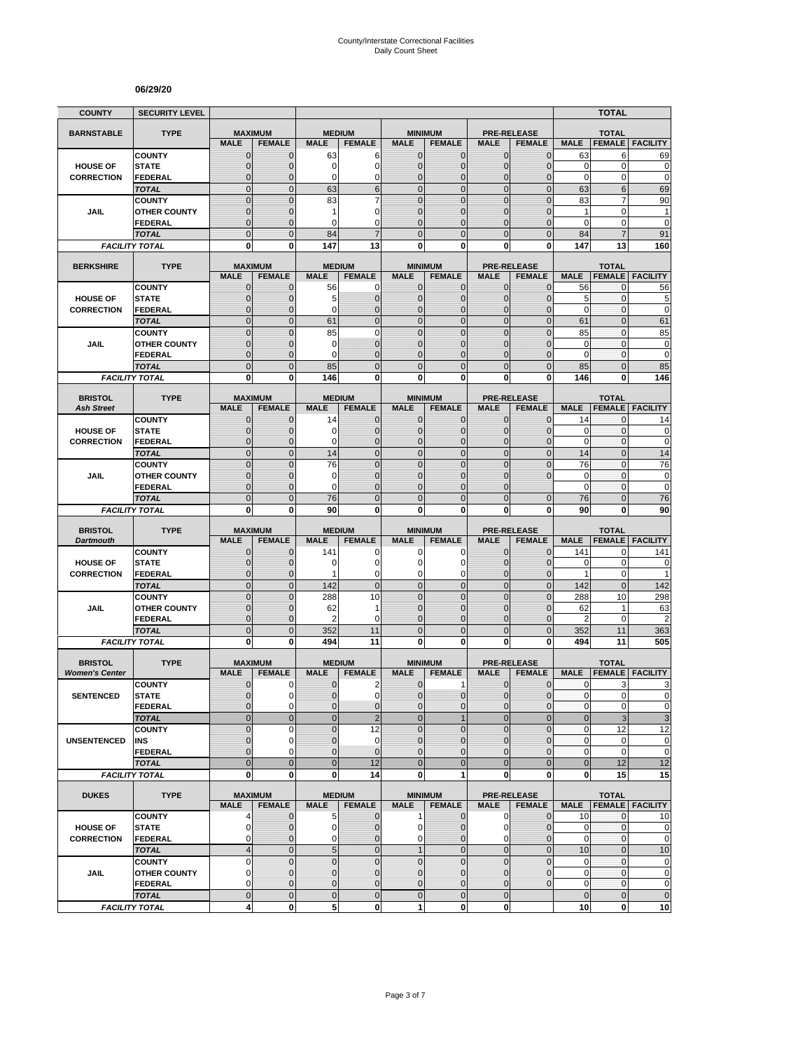#### **06/29/20**

| <b>COUNTY</b>                           | <b>SECURITY LEVEL</b>                 |                               |                                 |                              |                                  |                                |                                  |                              |                                     |                        | <b>TOTAL</b>                  |                                                                                            |
|-----------------------------------------|---------------------------------------|-------------------------------|---------------------------------|------------------------------|----------------------------------|--------------------------------|----------------------------------|------------------------------|-------------------------------------|------------------------|-------------------------------|--------------------------------------------------------------------------------------------|
| <b>BARNSTABLE</b>                       | <b>TYPE</b>                           | <b>MAXIMUM</b>                |                                 | <b>MEDIUM</b>                |                                  |                                | <b>MINIMUM</b>                   |                              | <b>PRE-RELEASE</b>                  |                        | <b>TOTAL</b>                  |                                                                                            |
|                                         |                                       | <b>MALE</b>                   | <b>FEMALE</b>                   | <b>MALE</b>                  | <b>FEMALE</b>                    | <b>MALE</b>                    | <b>FEMALE</b>                    | <b>MALE</b>                  | <b>FEMALE</b>                       | <b>MALE</b>            | <b>FEMALE</b>                 | <b>FACILITY</b>                                                                            |
|                                         | <b>COUNTY</b>                         | $\mathbf 0$                   | $\mathbf{0}$                    | 63                           | 6                                | $\mathbf 0$                    | 0                                | $\mathbf{0}$                 | $\mathbf{0}$                        | 63                     | 6                             | 69                                                                                         |
| <b>HOUSE OF</b>                         | <b>STATE</b>                          | $\mathbf{0}$                  | $\mathbf 0$                     | 0                            | $\overline{0}$                   | $\mathbf 0$                    | $\overline{0}$                   | $\mathbf{0}$                 | $\overline{0}$                      | $\mathbf 0$            | $\mathbf 0$                   | $\mathbf 0$                                                                                |
| <b>CORRECTION</b>                       | FEDERAL                               | $\mathbf 0$<br>$\mathbf 0$    | $\mathbf{0}$<br>$\mathbf{0}$    | 0<br>63                      | 0<br>6                           | $\mathbf 0$<br>$\overline{0}$  | $\mathbf 0$<br>$\mathbf 0$       | $\mathbf 0$<br>$\mathbf{0}$  | $\overline{0}$<br>$\mathbf 0$       | $\mathbf 0$<br>63      | 0<br>6                        | $\mathbf 0$<br>69                                                                          |
|                                         | <b>TOTAL</b><br><b>COUNTY</b>         | $\mathbf 0$                   | $\mathbf{0}$                    | 83                           | $\overline{7}$                   | $\overline{0}$                 | $\mathbf 0$                      | $\mathbf 0$                  | $\mathbf 0$                         | 83                     | 7                             | 90                                                                                         |
| JAIL                                    | <b>OTHER COUNTY</b>                   | $\mathbf 0$                   | $\mathbf 0$                     | 1                            | 0                                | $\mathbf{0}$                   | $\overline{0}$                   | $\mathbf 0$                  | $\overline{0}$                      | $\mathbf{1}$           | $\mathbf 0$                   | $\mathbf{1}$                                                                               |
|                                         | <b>FEDERAL</b>                        | $\mathbf 0$                   | $\mathbf{0}$                    | $\Omega$                     | $\Omega$                         | $\Omega$                       | $\mathbf 0$                      | $\Omega$                     | $\Omega$                            | 0                      | 0                             | $\mathbf 0$                                                                                |
|                                         | <b>TOTAL</b>                          | $\overline{0}$                | $\Omega$                        | 84                           |                                  | $\Omega$                       | $\overline{0}$                   | $\Omega$                     | $\overline{0}$                      | 84                     | $\overline{7}$                | 91                                                                                         |
|                                         | <b>FACILITY TOTAL</b>                 | 0                             | 0                               | 147                          | 13                               | $\mathbf{0}$                   | 0                                | 0                            | 0                                   | 147                    | 13                            | 160                                                                                        |
| <b>BERKSHIRE</b>                        | <b>TYPE</b>                           |                               | <b>MAXIMUM</b>                  | <b>MEDIUM</b>                |                                  |                                | <b>MINIMUM</b>                   |                              | <b>PRE-RELEASE</b>                  |                        | <b>TOTAL</b>                  |                                                                                            |
|                                         |                                       | <b>MALE</b>                   | <b>FEMALE</b>                   | <b>MALE</b>                  | <b>FEMALE</b>                    | <b>MALE</b>                    | <b>FEMALE</b>                    | <b>MALE</b>                  | <b>FEMALE</b>                       | <b>MALE</b>            | <b>FEMALE</b>                 | <b>FACILITY</b>                                                                            |
|                                         | <b>COUNTY</b>                         | $\mathbf{0}$                  | $\mathbf 0$                     | 56                           | 0                                | $\mathbf{0}$                   | $\mathbf{0}$                     | $\mathbf{0}$                 | $\mathbf 0$                         | 56                     | 0                             | 56                                                                                         |
| <b>HOUSE OF</b>                         | <b>STATE</b>                          | 0                             | $\mathbf{0}$                    | 5                            | $\mathbf 0$                      | $\mathbf{0}$                   | $\mathbf 0$                      | $\mathbf{0}$                 | $\mathbf{0}$                        | 5                      | 0                             | 5                                                                                          |
| <b>CORRECTION</b>                       | <b>FEDERAL</b>                        | $\mathbf 0$                   | $\mathbf 0$                     | 0                            | $\overline{0}$                   | $\mathbf{0}$                   | $\overline{0}$                   | $\mathbf{0}$                 | $\mathbf 0$                         | $\mathbf 0$            | 0                             | $\mathbf 0$                                                                                |
|                                         | <b>TOTAL</b>                          | $\overline{0}$                | $\mathbf{0}$                    | 61                           | $\overline{0}$                   | $\overline{0}$                 | $\overline{0}$                   | $\mathbf{0}$                 | $\overline{0}$                      | 61                     | $\overline{0}$                | 61                                                                                         |
|                                         | <b>COUNTY</b>                         | $\overline{0}$                | $\overline{0}$                  | 85                           | $\overline{0}$<br>$\overline{0}$ | $\mathbf 0$<br>$\Omega$        | $\overline{0}$                   | $\overline{0}$<br>$\Omega$   | $\overline{0}$                      | 85<br>$\mathbf 0$      | $\mathbf{0}$<br>$\mathbf{0}$  | 85                                                                                         |
| JAIL                                    | <b>OTHER COUNTY</b><br><b>FEDERAL</b> | 0<br>$\mathbf 0$              | $\mathbf{0}$<br>$\mathbf{0}$    | 0<br>0                       | $\overline{0}$                   | $\mathbf{0}$                   | $\overline{0}$<br>$\overline{0}$ | $\mathbf 0$                  | $\mathbf{0}$<br>$\overline{0}$      | $\mathbf 0$            | $\mathbf{0}$                  | $\pmb{0}$<br>$\mathbf 0$                                                                   |
|                                         | <b>TOTAL</b>                          | $\mathbf 0$                   | $\mathbf{0}$                    | 85                           | $\overline{0}$                   | $\mathbf{0}$                   | $\mathbf 0$                      | $\mathbf{0}$                 | $\mathbf 0$                         | 85                     | $\overline{0}$                | 85                                                                                         |
|                                         | <b>FACILITY TOTAL</b>                 | 0                             | $\bf{0}$                        | 146                          | 0                                | 0                              | $\bf{0}$                         | 0                            | 0                                   | 146                    | 0                             | 146                                                                                        |
|                                         |                                       |                               |                                 |                              |                                  |                                |                                  |                              |                                     |                        |                               |                                                                                            |
| <b>BRISTOL</b>                          | <b>TYPE</b>                           | <b>MAXIMUM</b>                |                                 | <b>MEDIUM</b>                |                                  |                                | <b>MINIMUM</b>                   |                              | <b>PRE-RELEASE</b>                  |                        | <b>TOTAL</b>                  |                                                                                            |
| <b>Ash Street</b>                       | <b>COUNTY</b>                         | <b>MALE</b>                   | <b>FEMALE</b>                   | <b>MALE</b>                  | <b>FEMALE</b>                    | <b>MALE</b>                    | <b>FEMALE</b>                    | <b>MALE</b>                  | <b>FEMALE</b>                       | <b>MALE</b>            | <b>FEMALE</b>                 | <b>FACILITY</b>                                                                            |
| <b>HOUSE OF</b>                         | <b>STATE</b>                          | 0<br>$\mathbf{0}$             | $\mathbf{0}$<br>$\mathbf{0}$    | 14<br>0                      | $\mathbf 0$<br>$\mathbf 0$       | $\mathbf 0$<br>$\mathbf{0}$    | 0<br>$\mathbf{0}$                | $\mathbf{0}$<br>$\mathbf{0}$ | $\mathbf{0}$<br>$\mathbf{0}$        | 14<br>0                | 0<br>$\mathbf{0}$             | 14<br>0                                                                                    |
| <b>CORRECTION</b>                       | <b>FEDERAL</b>                        | $\mathbf{0}$                  | $\mathbf{0}$                    | 0                            | $\overline{0}$                   | $\mathbf{0}$                   | $\mathbf{0}$                     | $\mathbf{0}$                 | $\overline{0}$                      | $\mathbf 0$            | 0                             | $\mathbf 0$                                                                                |
|                                         | <b>TOTAL</b>                          | $\overline{0}$                | $\mathbf{0}$                    | 14                           | $\overline{0}$                   | $\mathbf 0$                    | $\overline{0}$                   | $\mathbf{0}$                 | $\overline{0}$                      | 14                     | $\overline{0}$                | 14                                                                                         |
|                                         | <b>COUNTY</b>                         | $\overline{0}$                | $\Omega$                        | 76                           | $\overline{0}$                   | $\mathbf 0$                    | $\overline{0}$                   | $\overline{0}$               | $\overline{0}$                      | 76                     | $\overline{0}$                | 76                                                                                         |
| JAIL                                    | <b>OTHER COUNTY</b>                   | $\mathbf 0$                   | $\mathbf 0$                     | 0                            | $\overline{0}$                   | $\mathbf{0}$                   | $\overline{0}$                   | $\mathbf 0$                  | $\overline{0}$                      | $\mathbf 0$            | $\mathbf{0}$                  | $\mathbf 0$                                                                                |
|                                         | <b>FEDERAL</b>                        | $\overline{0}$                | $\mathbf{0}$                    | 0                            | $\overline{0}$                   | $\Omega$                       | $\overline{0}$                   | $\Omega$                     |                                     | $\mathbf 0$            | 0                             | $\mathbf 0$                                                                                |
|                                         | <b>TOTAL</b>                          | $\overline{0}$                | $\mathbf{0}$                    | 76                           | $\overline{0}$                   | $\overline{0}$                 | $\overline{0}$                   | $\overline{0}$               | $\mathbf{0}$                        | 76                     | $\overline{0}$                | 76                                                                                         |
|                                         |                                       |                               |                                 |                              |                                  |                                |                                  |                              |                                     |                        |                               |                                                                                            |
|                                         | <b>FACILITY TOTAL</b>                 | 0                             | 0                               | 90                           | 0                                | 0                              | 0                                | 0                            | 0                                   | 90                     | 0                             | 90                                                                                         |
| <b>BRISTOL</b>                          | <b>TYPE</b>                           | <b>MAXIMUM</b>                |                                 | <b>MEDIUM</b>                |                                  |                                | <b>MINIMUM</b>                   |                              | <b>PRE-RELEASE</b>                  |                        | <b>TOTAL</b>                  |                                                                                            |
| <b>Dartmouth</b>                        |                                       | <b>MALE</b>                   | <b>FEMALE</b>                   | <b>MALE</b>                  | <b>FEMALE</b>                    | <b>MALE</b>                    | <b>FEMALE</b>                    | <b>MALE</b>                  | <b>FEMALE</b>                       | <b>MALE</b>            | <b>FEMALE</b>                 | <b>FACILITY</b>                                                                            |
|                                         | <b>COUNTY</b>                         | $\mathbf 0$                   | $\mathbf 0$                     | 141                          | 0                                | 0                              | 0                                | $\mathbf 0$                  | $\overline{0}$                      | 141                    | 0                             | 141                                                                                        |
| <b>HOUSE OF</b>                         | <b>STATE</b>                          | $\mathbf 0$                   | $\mathbf{0}$                    | 0                            | $\overline{0}$                   | $\Omega$                       | 0                                | $\Omega$                     | $\mathbf{0}$                        | $\mathbf 0$            | $\mathbf 0$                   | 0                                                                                          |
| <b>CORRECTION</b>                       | <b>FEDERAL</b>                        | $\mathbf 0$                   | $\mathbf{0}$                    | 1                            | 0                                | $\mathbf 0$                    | 0                                | $\mathbf 0$                  | $\mathbf{0}$                        | $\mathbf{1}$           | 0                             | 1                                                                                          |
|                                         | <b>TOTAL</b><br><b>COUNTY</b>         | $\overline{0}$<br>$\mathbf 0$ | $\mathbf{0}$<br>$\mathbf{0}$    | 142<br>288                   | $\mathbf 0$<br>10                | $\overline{0}$<br>$\mathbf{0}$ | $\mathbf 0$<br>$\mathbf 0$       | $\mathbf{0}$<br>$\mathbf{0}$ | $\overline{0}$<br>$\mathbf 0$       | 142<br>288             | $\mathbf 0$<br>10             | 142                                                                                        |
| JAIL                                    | <b>OTHER COUNTY</b>                   | $\overline{0}$                | $\mathbf{0}$                    | 62                           | 1                                | $\mathbf{0}$                   | $\overline{0}$                   | $\Omega$                     | $\overline{0}$                      | 62                     | 1                             | 298<br>63                                                                                  |
|                                         | <b>FEDERAL</b>                        | $\mathbf 0$                   | $\mathbf{0}$                    | 2                            | 0                                | $\mathbf{0}$                   | 0                                | $\mathbf{0}$                 | $\mathbf 0$                         | 2                      | 0                             | $\overline{c}$                                                                             |
|                                         | <b>TOTAL</b>                          | $\mathbf 0$                   | $\overline{0}$                  | 352                          | 11                               | $\overline{0}$                 | $\mathbf 0$                      | $\overline{0}$               | $\mathbf 0$                         | 352                    | 11                            | 363                                                                                        |
|                                         | <b>FACILITY TOTAL</b>                 | $\mathbf 0$                   | $\mathbf{0}$                    | 494                          | 11                               | $\mathbf{0}$                   | $\bf{0}$                         | 0                            | $\bf{0}$                            | 494                    | 11                            | 505                                                                                        |
|                                         |                                       |                               |                                 |                              |                                  |                                |                                  |                              |                                     |                        |                               |                                                                                            |
| <b>BRISTOL</b><br><b>Women's Center</b> | <b>TYPE</b>                           | <b>MALE</b>                   | <b>MAXIMUM</b><br><b>FEMALE</b> | <b>MEDIUM</b><br><b>MALE</b> | <b>FEMALE</b>                    | <b>MALE</b>                    | <b>MINIMUM</b><br><b>FEMALE</b>  | <b>MALE</b>                  | <b>PRE-RELEASE</b><br><b>FEMALE</b> | <b>MALE</b>            | <b>TOTAL</b><br><b>FEMALE</b> | <b>FACILITY</b>                                                                            |
|                                         | <b>COUNTY</b>                         | 0                             | 0                               | 0                            | $\overline{c}$                   | $\mathbf 0$                    | 1                                | 0                            | $\mathbf 0$                         | 0                      | 3                             | 3                                                                                          |
| <b>SENTENCED</b>                        | <b>STATE</b>                          | $\overline{0}$                | $\Omega$                        | $\overline{0}$               | $\mathbf 0$                      | $\overline{0}$                 | $\mathbf 0$                      | $\mathbf{0}$                 | $\mathbf{0}$                        | $\mathbf{0}$           | $\overline{0}$                |                                                                                            |
|                                         | <b>FEDERAL</b>                        | 0                             | $\mathbf 0$                     | 0                            | $\mathbf 0$                      | $\mathbf{0}$                   | $\mathbf 0$                      | $\mathbf 0$                  | $\mathbf 0$                         | $\pmb{0}$              | 0                             |                                                                                            |
|                                         | <b>TOTAL</b>                          | $\mathbf 0$                   | $\mathbf{0}$                    | $\mathbf 0$                  | $\overline{2}$                   | $\mathbf{0}$                   | $\mathbf{1}$                     | $\mathbf{0}$                 | $\mathbf 0$                         | $\bf 0$                | 3                             |                                                                                            |
|                                         | <b>COUNTY</b>                         | $\mathbf 0$                   | $\mathbf 0$                     | $\overline{0}$               | 12                               | $\Omega$                       | $\mathbf 0$                      | $\mathbf 0$                  | $\overline{0}$                      | $\pmb{0}$              | 12                            | 12                                                                                         |
| <b>UNSENTENCED</b>                      | INS                                   | 0<br>$\overline{0}$           | $\mathbf 0$<br>$\Omega$         | $\pmb{0}$<br>0               | 0<br>$\mathbf 0$                 | $\mathbf 0$<br>$\mathbf{0}$    | 0<br>$\overline{0}$              | $\mathbf{0}$<br>$\mathbf{0}$ | $\mathbf 0$<br>$\overline{0}$       | $\pmb{0}$<br>$\pmb{0}$ | 0<br>0                        |                                                                                            |
|                                         | <b>FEDERAL</b><br><b>TOTAL</b>        | $\overline{0}$                | $\mathbf{0}$                    | $\mathbf 0$                  | 12                               | $\overline{0}$                 | $\overline{0}$                   | $\overline{0}$               | $\mathbf 0$                         | $\bf 0$                | 12                            |                                                                                            |
|                                         | <b>FACILITY TOTAL</b>                 | 0                             | $\mathbf{0}$                    | 0                            | 14                               | $\mathbf{0}$                   | 1                                | $\mathbf 0$                  | 0                                   | 0                      | 15                            |                                                                                            |
|                                         |                                       |                               |                                 |                              |                                  |                                |                                  |                              |                                     |                        |                               | $\Omega$<br>$\pmb{0}$<br>$\ensuremath{\mathsf{3}}$<br>$\pmb{0}$<br>$\mathbf 0$<br>12<br>15 |
| <b>DUKES</b>                            | <b>TYPE</b>                           |                               | <b>MAXIMUM</b>                  |                              | <b>MEDIUM</b>                    |                                | <b>MINIMUM</b>                   |                              | <b>PRE-RELEASE</b>                  |                        | <b>TOTAL</b>                  |                                                                                            |
|                                         |                                       | <b>MALE</b>                   | <b>FEMALE</b>                   | <b>MALE</b>                  | <b>FEMALE</b>                    | <b>MALE</b>                    | <b>FEMALE</b>                    | <b>MALE</b>                  | <b>FEMALE</b>                       |                        |                               | <b>MALE   FEMALE   FACILITY</b>                                                            |
| <b>HOUSE OF</b>                         | <b>COUNTY</b><br><b>STATE</b>         | 4<br>0                        | $\mathbf{0}$<br>0               | 5<br>0                       | $\mathbf 0$<br>$\mathbf 0$       | $\mathbf{1}$<br>$\mathbf{0}$   | $\mathbf 0$<br>0                 | $\mathbf 0$<br>0             | $\mathbf 0$<br>$\mathbf 0$          | 10<br>0                | $\mathbf{0}$<br>0             |                                                                                            |
| <b>CORRECTION</b>                       | <b>FEDERAL</b>                        | 0                             | $\mathbf{0}$                    | 0                            | $\mathbf 0$                      | $\overline{0}$                 | $\mathbf 0$                      | $\mathbf 0$                  | $\mathbf 0$                         | 0                      | 0                             |                                                                                            |
|                                         | <b>TOTAL</b>                          | $\overline{4}$                | $\mathbf 0$                     | $\sqrt{5}$                   | $\mathbf 0$                      | 1                              | $\mathbf 0$                      | $\mathbf 0$                  | $\mathbf 0$                         | 10                     | $\mathbf 0$                   |                                                                                            |
|                                         | <b>COUNTY</b>                         | 0                             | $\mathbf{0}$                    | $\pmb{0}$                    | $\mathbf 0$                      | $\mathbf 0$                    | $\mathbf 0$                      | $\mathbf 0$                  | $\mathbf 0$                         | $\mathbf 0$            | $\pmb{0}$                     | 10                                                                                         |
| JAIL                                    | <b>OTHER COUNTY</b>                   | $\overline{0}$                | $\mathbf{0}$                    | $\mathbf 0$                  | $\overline{0}$                   | $\mathbf{0}$                   | $\mathbf{0}$                     | $\mathbf{0}$                 | $\overline{0}$                      | $\mathbf 0$            | $\mathbf{0}$                  |                                                                                            |
|                                         | <b>FEDERAL</b><br><b>TOTAL</b>        | 0<br>$\mathbf 0$              | $\mathbf 0$<br>$\mathbf 0$      | 0<br>$\pmb{0}$               | 0<br>$\mathbf 0$                 | $\mathbf 0$<br>$\mathbf 0$     | 0<br>$\mathbf 0$                 | $\mathbf 0$<br>$\mathbf 0$   | $\mathbf 0$                         | 0<br>$\pmb{0}$         | $\pmb{0}$<br>$\mathbf 0$      | 10<br>$\pmb{0}$<br>$\mathbf 0$<br>$\pmb{0}$<br>$\pmb{0}$<br>$\pmb{0}$<br>$\pmb{0}$         |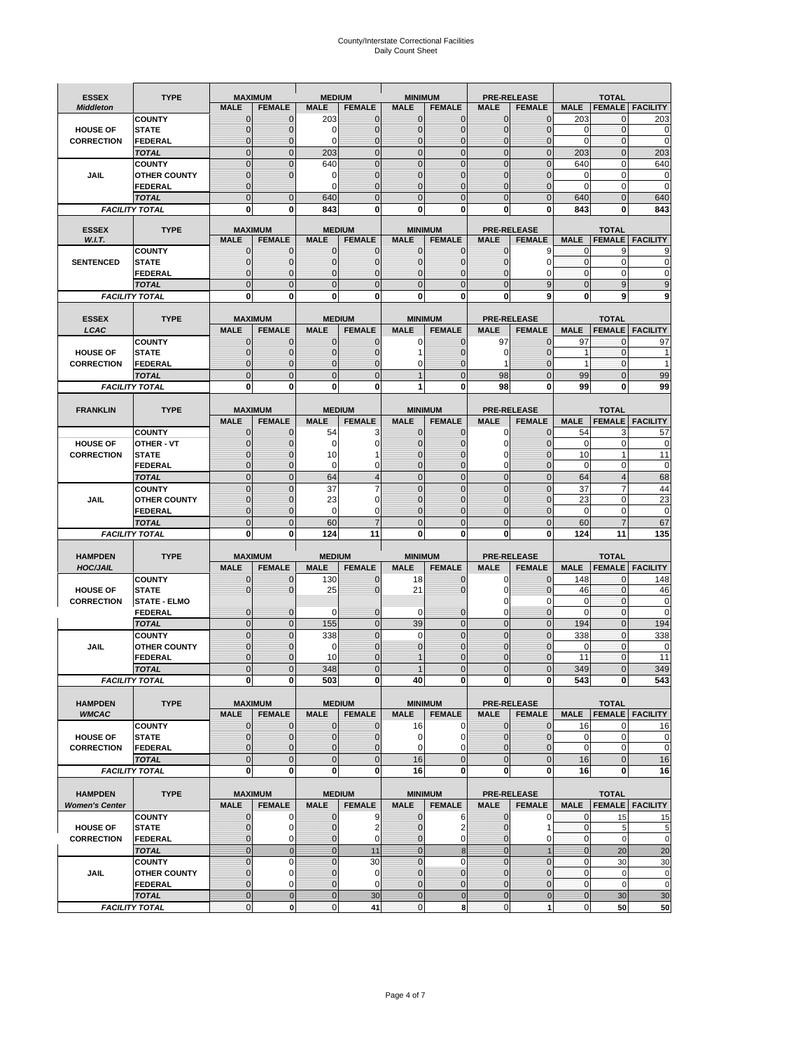# County/Interstate Correctional Facilities Daily Count Sheet

| <b>ESSEX</b>                            | <b>TYPE</b>                           |                     | <b>MAXIMUM</b>                   | <b>MEDIUM</b>     |                                | <b>MINIMUM</b>               |                                 |                            | <b>PRE-RELEASE</b>                  |                         | <b>TOTAL</b>                  |                          |
|-----------------------------------------|---------------------------------------|---------------------|----------------------------------|-------------------|--------------------------------|------------------------------|---------------------------------|----------------------------|-------------------------------------|-------------------------|-------------------------------|--------------------------|
| <b>Middleton</b>                        |                                       | <b>MALE</b>         | <b>FEMALE</b>                    | <b>MALE</b>       | <b>FEMALE</b>                  | <b>MALE</b>                  | <b>FEMALE</b>                   | MALE                       | <b>FEMALE</b>                       | <b>MALE</b>             | <b>FEMALE</b>                 | <b>FACILITY</b>          |
|                                         | <b>COUNTY</b>                         | 0                   | 0                                | 203               | 0                              | $\mathbf 0$                  | $\mathbf{0}$                    | 0                          | $\Omega$                            | 203                     | 0                             | 203                      |
| <b>HOUSE OF</b>                         | <b>STATE</b>                          | 0                   | $\mathbf 0$                      | $\Omega$          | 0                              | $\mathbf{0}$                 | $\Omega$                        | $\mathbf 0$                | $\Omega$                            | $\Omega$                | $\Omega$                      | 0                        |
| <b>CORRECTION</b>                       | <b>FEDERAL</b>                        | 0<br>$\overline{0}$ | $\mathbf 0$                      | 0                 | 0                              | $\mathbf{0}$                 | $\mathbf 0$                     | $\mathbf{0}$               | $\mathbf 0$                         | $\mathbf 0$             | $\mathbf{0}$                  | $\mathbf 0$              |
|                                         | <b>TOTAL</b><br><b>COUNTY</b>         | $\mathbf 0$         | $\overline{0}$<br>$\overline{0}$ | 203<br>640        | $\mathbf 0$<br>$\overline{0}$  | $\mathbf 0$<br>$\mathbf{0}$  | $\overline{0}$<br>$\Omega$      | $\mathbf 0$<br>$\mathbf 0$ | $\overline{0}$<br>$\Omega$          | 203<br>640              | $\mathbf{0}$<br>$\mathbf 0$   | 203<br>640               |
| JAIL                                    | <b>OTHER COUNTY</b>                   | $\mathbf 0$         | $\overline{0}$                   | 0                 | 0                              | $\mathbf{0}$                 | $\mathbf{0}$                    | $\mathbf 0$                | ſ                                   | 0                       | $\mathbf 0$                   | 0                        |
|                                         | <b>FEDERAL</b>                        | $\mathbf{0}$        |                                  | $\Omega$          | $\Omega$                       | $\mathbf{0}$                 | $\Omega$                        | $\mathbf{0}$               | 0                                   | $\Omega$                | $\mathbf 0$                   | 0                        |
|                                         | <b>TOTAL</b>                          | $\overline{0}$      | $\mathbf 0$                      | 640               | $\Omega$                       | $\Omega$                     | $\Omega$                        | $\overline{0}$             | $\Omega$                            | 640                     | $\Omega$                      | 640                      |
|                                         | <b>FACILITY TOTAL</b>                 | 0                   | 0                                | 843               | O                              | $\bf{0}$                     | 0                               | 0                          | 0                                   | 843                     | 0                             | 843                      |
|                                         |                                       |                     |                                  |                   |                                |                              |                                 |                            |                                     |                         |                               |                          |
| <b>ESSEX</b><br>W.I.T.                  | <b>TYPE</b>                           | <b>MALE</b>         | <b>MAXIMUM</b><br><b>FEMALE</b>  | <b>MALE</b>       | <b>MEDIUM</b><br><b>FEMALE</b> | <b>MALE</b>                  | <b>MINIMUM</b><br><b>FEMALE</b> | <b>MALE</b>                | <b>PRE-RELEASE</b><br><b>FEMALE</b> | <b>MALE</b>             | <b>TOTAL</b><br><b>FEMALE</b> | <b>FACILITY</b>          |
|                                         | <b>COUNTY</b>                         | $\mathbf{0}$        | 0                                | $\mathbf 0$       | 0                              | $\mathbf 0$                  | $\mathbf{0}$                    | $\mathbf 0$                | 9                                   | 0                       | 9                             | 9                        |
| <b>SENTENCED</b>                        | <b>STATE</b>                          | 0                   | $\mathbf 0$                      | $\mathbf{0}$      | $\mathbf 0$                    | $\mathbf{0}$                 | $\mathbf{0}$                    | 0                          | $\Omega$                            | $\mathbf{0}$            | $\mathbf 0$                   | 0                        |
|                                         | <b>FEDERAL</b>                        | $\overline{0}$      | $\mathbf 0$                      | $\mathbf{0}$      | 0                              | $\mathbf{0}$                 | 0                               | $\mathbf 0$                | 0                                   | $\mathbf{0}$            | 0                             | 0                        |
|                                         | <b>TOTAL</b>                          | $\overline{0}$      | $\overline{0}$                   | $\mathbf{0}$      | $\overline{0}$                 | $\mathbf{0}$                 | $\overline{0}$                  | $\overline{0}$             | 9                                   | $\mathbf{0}$            | 9                             | 9                        |
|                                         | <b>FACILITY TOTAL</b>                 | 0                   | 0                                | $\bf{0}$          | O                              | $\bf{0}$                     | $\mathbf{0}$                    | 0                          | 9                                   | $\bf{0}$                | 9                             | 9                        |
|                                         |                                       |                     |                                  |                   |                                |                              |                                 |                            |                                     |                         |                               |                          |
| <b>ESSEX</b><br>LCAC                    | <b>TYPE</b>                           | <b>MALE</b>         | <b>MAXIMUM</b><br><b>FEMALE</b>  | <b>MALE</b>       | <b>MEDIUM</b><br><b>FEMALE</b> | <b>MALE</b>                  | <b>MINIMUM</b><br><b>FEMALE</b> | <b>MALE</b>                | <b>PRE-RELEASE</b><br><b>FEMALE</b> | <b>MALE</b>             | <b>TOTAL</b>                  | <b>FEMALE</b>   FACILITY |
|                                         | <b>COUNTY</b>                         | 0                   | 0                                | $\mathbf{0}$      | 0                              | 0                            | $\mathbf{0}$                    | 97                         | $\Omega$                            | 97                      | $\Omega$                      | 97                       |
| <b>HOUSE OF</b>                         | <b>STATE</b>                          | 0                   | $\overline{0}$                   | $\mathbf 0$       | 0                              |                              | $\Omega$                        | 0                          | 0                                   | 1                       | $\mathbf 0$                   |                          |
| <b>CORRECTION</b>                       | FEDERAL                               | 0                   | 0                                | $\mathbf{0}$      | 0                              | 0                            | $\Omega$                        | 1                          | $\Omega$                            | $\mathbf{1}$            | $\mathbf 0$                   | 1                        |
|                                         | <b>TOTAL</b>                          | $\Omega$            | $\overline{0}$                   | $\mathbf{0}$      | $\overline{0}$                 | $\overline{1}$               | $\Omega$                        | 98                         | $\Omega$                            | 99                      | $\Omega$                      | 99                       |
|                                         | <b>FACILITY TOTAL</b>                 | 0                   | 0                                | 0                 | 0                              | 1                            | 0                               | 98                         | $\bf{0}$                            | 99                      | 0                             | 99                       |
|                                         |                                       |                     |                                  |                   |                                |                              |                                 |                            |                                     |                         |                               |                          |
| <b>FRANKLIN</b>                         | <b>TYPE</b>                           |                     | <b>MAXIMUM</b>                   |                   | <b>MEDIUM</b>                  |                              | <b>MINIMUM</b>                  |                            | <b>PRE-RELEASE</b>                  |                         | <b>TOTAL</b>                  |                          |
|                                         |                                       | <b>MALE</b>         | <b>FEMALE</b>                    | <b>MALE</b>       | <b>FEMALE</b>                  | <b>MALE</b>                  | <b>FEMALE</b>                   | <b>MALE</b>                | <b>FEMALE</b><br>$\Omega$           | <b>MALE</b>             | <b>FEMALE</b>                 | <b>FACILITY</b>          |
| <b>HOUSE OF</b>                         | <b>COUNTY</b><br><b>OTHER - VT</b>    | $\mathbf{0}$<br>0   | 0<br>$\overline{0}$              | 54<br>$\mathbf 0$ | 3<br>0                         | $\mathbf{0}$<br>$\mathbf{0}$ | 0<br>$\mathbf 0$                | 0<br>$\mathbf 0$           | $\Omega$                            | 54<br>$\mathbf 0$       | 3<br>$\mathbf 0$              | 57<br>$\mathbf 0$        |
| <b>CORRECTION</b>                       | <b>STATE</b>                          | $\Omega$            | $\mathbf 0$                      | 10                |                                | $\Omega$                     | $\Omega$                        | 0                          | $\sqrt{ }$                          | 10                      | $\overline{1}$                | 11                       |
|                                         | FEDERAL                               | $\mathbf{0}$        | $\overline{0}$                   | $\mathbf 0$       | 0                              | $\mathbf{0}$                 | $\mathbf{0}$                    | 0                          | $\overline{0}$                      | $\mathbf 0$             | $\mathbf 0$                   | $\mathbf 0$              |
|                                         | <b>TOTAL</b>                          | $\overline{0}$      | $\mathbf{0}$                     | 64                | $\overline{4}$                 | $\mathbf{0}$                 | $\overline{0}$                  | $\mathbf 0$                | $\overline{0}$                      | 64                      | $\overline{4}$                | 68                       |
|                                         | <b>COUNTY</b>                         | $\Omega$            | $\overline{0}$                   | 37                | 7                              | $\Omega$                     | $\Omega$                        | $\mathbf 0$                | $\Omega$                            | 37                      | 7                             | 44                       |
| JAIL                                    | <b>OTHER COUNTY</b>                   | 0                   | $\mathbf 0$                      | 23                | 0                              | $\mathbf 0$                  | $\Omega$                        | $\mathbf 0$                | $\sqrt{ }$                          | 23                      | $\mathbf 0$                   | 23                       |
|                                         | <b>FEDERAL</b>                        | 0                   | 0                                | 0                 | 0                              | $\mathbf{0}$                 | $\Omega$                        | 0                          | $\Omega$                            | $\mathbf 0$             | $\mathbf 0$                   | $\mathbf 0$              |
|                                         | <b>TOTAL</b><br><b>FACILITY TOTAL</b> | $\mathbf{0}$<br>0   | $\overline{0}$<br>0              | 60<br>124         | $\overline{7}$<br>11           | $\mathbf{0}$<br>$\bf{0}$     | $\Omega$<br>0                   | $\overline{0}$<br>0        | $\Omega$<br>0                       | 60<br>124               | $\overline{7}$<br>11          | 67<br>135                |
|                                         |                                       |                     |                                  |                   |                                |                              |                                 |                            |                                     |                         |                               |                          |
| <b>HAMPDEN</b>                          | <b>TYPE</b>                           |                     | <b>MAXIMUM</b>                   | <b>MEDIUM</b>     |                                | <b>MINIMUM</b>               |                                 |                            | <b>PRE-RELEASE</b>                  |                         | <b>TOTAL</b>                  |                          |
| <b>HOC/JAIL</b>                         |                                       | <b>MALE</b>         | <b>FEMALE</b>                    | <b>MALE</b>       | <b>FEMALE</b>                  | <b>MALE</b>                  | <b>FEMALE</b>                   | <b>MALE</b>                | <b>FEMALE</b>                       | <b>MALE</b>             | <b>FEMALE</b>                 | <b>FACILITY</b>          |
|                                         | <b>COUNTY</b>                         | 0                   | $\mathbf 0$                      | 130               | 0                              | 18                           | 0                               | 0                          | $\mathbf 0$                         | 148                     | $\mathbf{0}$                  | 148                      |
| <b>HOUSE OF</b>                         | <b>STATE</b>                          | 0                   | $\overline{0}$                   | 25                | 0                              | 21                           | $\Omega$                        | 0                          | $\Omega$                            | 46                      | $\mathbf{0}$                  | 46                       |
| <b>CORRECTION</b>                       | <b>STATE - ELMO</b><br><b>FEDERAL</b> | $\mathbf{0}$        | $\mathbf 0$                      | $\Omega$          | 0                              | 0                            | $\mathbf{0}$                    | 0<br>$\mathbf 0$           | 0<br>0                              | $\mathbf 0$<br>$\Omega$ | $\mathbf{0}$<br>$\Omega$      | $\mathbf 0$<br>0         |
|                                         | <b>TOTAL</b>                          | $\overline{0}$      | $\overline{0}$                   | 155               | $\overline{0}$                 | 39                           | $\mathbf{0}$                    | $\overline{0}$             | $\Omega$                            | 194                     | $\Omega$                      | 194                      |
|                                         | <b>COUNTY</b>                         | $\overline{0}$      | $\overline{0}$                   | 338               | 0                              | $\mathbf 0$                  | $\overline{0}$                  | $\overline{0}$             | $\overline{0}$                      | 338                     | $\mathbf{0}$                  | 338                      |
| <b>JAIL</b>                             | <b>OTHER COUNTY</b>                   | 0                   | $\mathbf 0$                      | 0                 | 0                              | $\mathbf{0}$                 | $\Omega$                        | $\mathbf 0$                | $\sqrt{ }$                          | $\mathbf 0$             | $\mathbf 0$                   | 0                        |
|                                         | <b>FEDERAL</b>                        | $\Omega$            | $\mathbf 0$                      | 10                | $\Omega$                       | $\mathbf 1$                  | $\Omega$                        | $\mathbf 0$                | $\Omega$                            | 11                      | $\Omega$                      | 11                       |
|                                         | <b>TOTAL</b>                          | $\overline{0}$      | $\overline{0}$                   | 348               | $\Omega$                       |                              | $\overline{0}$                  | $\overline{0}$             | $\Omega$                            | 349                     | U                             | 349                      |
|                                         | <b>FACILITY TOTAL</b>                 | $\mathbf{0}$        | $\boldsymbol{0}$                 | 503               | o                              | 40                           | 0                               | $\mathbf{0}$               | 0                                   | 543                     | 0                             | 543                      |
|                                         |                                       |                     |                                  |                   |                                |                              |                                 |                            |                                     |                         |                               |                          |
| <b>HAMPDEN</b><br><b>WMCAC</b>          | <b>TYPE</b>                           | <b>MALE</b>         | <b>MAXIMUM</b><br><b>FEMALE</b>  | <b>MALE</b>       | <b>MEDIUM</b><br><b>FEMALE</b> | <b>MALE</b>                  | <b>MINIMUM</b><br><b>FEMALE</b> | <b>MALE</b>                | <b>PRE-RELEASE</b><br><b>FEMALE</b> | <b>MALE</b>             | <b>TOTAL</b>                  | <b>FEMALE</b> FACILITY   |
|                                         | <b>COUNTY</b>                         | $\mathbf 0$         | $\mathbf{0}$                     | $\mathbf 0$       | 0                              | 16                           | 0                               | $\mathbf 0$                | $\mathbf 0$                         | 16                      | 0                             | 16                       |
| <b>HOUSE OF</b>                         | <b>STATE</b>                          | $\mathbf{0}$        | $\mathbf{0}$                     | $\overline{0}$    | 0                              | $\mathbf 0$                  | 0                               | $\mathbf{0}$               | $\overline{0}$                      | $\mathbf 0$             | $\mathbf 0$                   | 0                        |
| <b>CORRECTION</b>                       | <b>FEDERAL</b>                        | $\mathbf{0}$        | 0                                | $\overline{0}$    | 0                              | $\mathbf 0$                  | $\Omega$                        | 0                          | 0                                   | $\mathbf 0$             | $\mathbf 0$                   | $\pmb{0}$                |
|                                         | <b>TOTAL</b>                          | $\mathbf{0}$        | $\overline{0}$                   | $\overline{0}$    | $\overline{0}$                 | 16                           | $\mathbf{0}$                    | $\mathbf 0$                | $\mathbf 0$                         | 16                      | $\mathbf 0$                   | 16                       |
|                                         | <b>FACILITY TOTAL</b>                 | $\bf{0}$            | 0                                | $\mathbf{0}$      | 0                              | 16                           | 0                               | 0                          | $\bf{0}$                            | 16                      | 0                             | 16                       |
|                                         |                                       |                     |                                  |                   |                                |                              |                                 |                            |                                     |                         |                               |                          |
| <b>HAMPDEN</b><br><b>Women's Center</b> | <b>TYPE</b>                           | <b>MALE</b>         | <b>MAXIMUM</b><br><b>FEMALE</b>  | <b>MALE</b>       | <b>MEDIUM</b><br><b>FEMALE</b> | <b>MALE</b>                  | <b>MINIMUM</b><br><b>FEMALE</b> | <b>MALE</b>                | <b>PRE-RELEASE</b><br><b>FEMALE</b> | <b>MALE</b>             | <b>TOTAL</b>                  | <b>FEMALE</b> FACILITY   |
|                                         | <b>COUNTY</b>                         | 0                   | 0                                | $\mathbf 0$       | 9                              | $\mathbf 0$                  | 6                               | 0                          | 0                                   | 0                       | 15                            | 15                       |
| <b>HOUSE OF</b>                         | <b>STATE</b>                          | $\mathbf{0}$        | $\mathbf 0$                      | $\mathbf{0}$      | $\overline{2}$                 | $\mathbf{0}$                 | 2                               | $\mathbf 0$                | 1                                   | $\mathbf 0$             | 5                             | 5                        |
| <b>CORRECTION</b>                       | <b>FEDERAL</b>                        | 0                   | 0                                | 0                 | 0                              | $\mathbf{0}$                 | 0                               | $\mathbf{0}$               | 0                                   | $\overline{0}$          | $\mathbf 0$                   | $\mathbf 0$              |
|                                         | <b>TOTAL</b>                          | $\mathbf{0}$        | $\mathbf 0$                      | $\overline{0}$    | 11                             | $\mathbf{0}$                 | $\bf 8$                         | $\mathbf{0}$               |                                     | $\mathbf{0}$            | 20                            | 20                       |
|                                         | <b>COUNTY</b>                         | $\mathbf{0}$        | $\mathbf 0$                      | $\mathbf{0}$      | 30                             | $\mathbf{0}$                 | $\mathbf 0$                     | $\overline{0}$             | $\overline{0}$                      | $\mathbf{0}$            | 30                            | 30                       |
| <b>JAIL</b>                             | <b>OTHER COUNTY</b>                   | 0                   | $\mathbf 0$                      | $\mathbf 0$       | 0                              | $\mathbf 0$<br>$\mathbf 0$   | $\mathbf{0}$                    | 0                          | $\Omega$                            | $\mathbf 0$             | $\mathbf 0$                   | $\pmb{0}$                |
|                                         | <b>FEDERAL</b>                        | 0                   | $\mathbf 0$                      | $\mathbf 0$       | 0                              |                              | $\mathbf{0}$                    | $\mathbf 0$                | $\overline{0}$                      | $\mathbf{0}$            | $\mathbf 0$                   | $\mathbf 0$              |
|                                         | <b>TOTAL</b>                          | $\mathbf{0}$        | $\mathbf 0$                      | $\overline{0}$    | 30                             | $\overline{0}$               | $\mathbf 0$                     | $\mathbf{0}$               | $\mathbf 0$                         | $\mathbf{0}$            | 30                            | 30                       |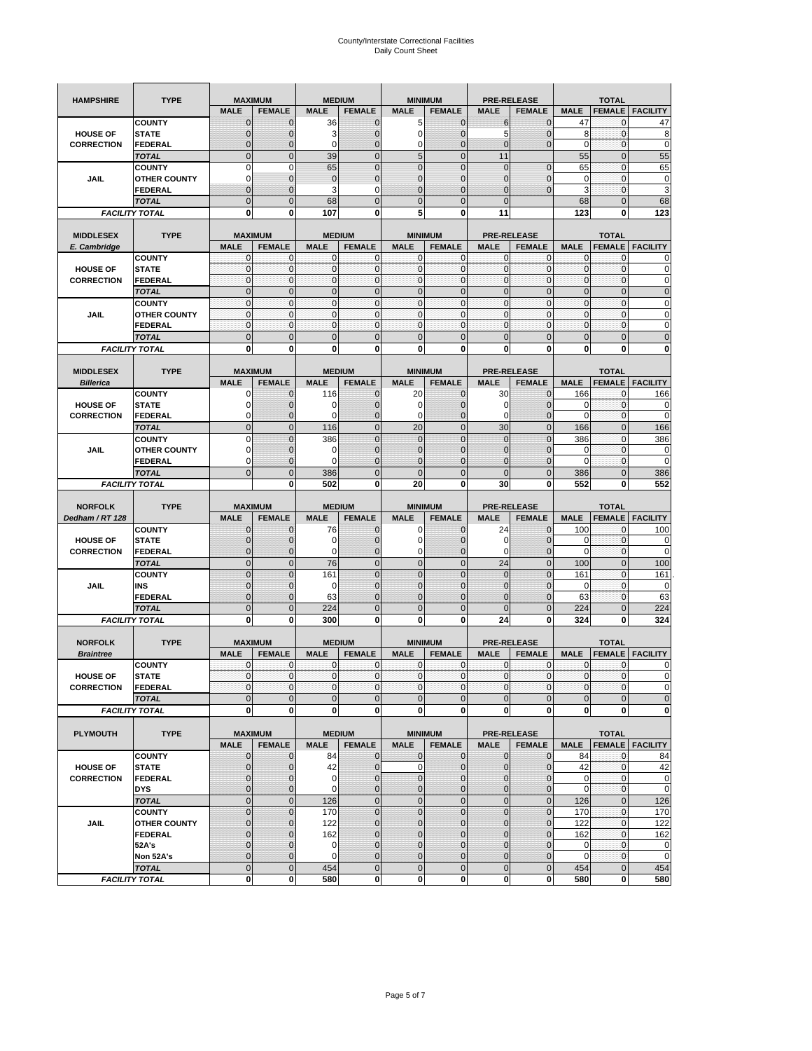| <b>HAMPSHIRE</b>  | <b>TYPE</b>                           | <b>MAXIMUM</b>                |                            |                  | <b>MEDIUM</b>                  | <b>MINIMUM</b>      |                               |                             | <b>PRE-RELEASE</b>          |                  | <b>TOTAL</b>                 |                                          |
|-------------------|---------------------------------------|-------------------------------|----------------------------|------------------|--------------------------------|---------------------|-------------------------------|-----------------------------|-----------------------------|------------------|------------------------------|------------------------------------------|
|                   |                                       | <b>MALE</b>                   | <b>FEMALE</b>              | <b>MALE</b>      | <b>FEMALE</b>                  | <b>MALE</b>         | <b>FEMALE</b>                 | <b>MALE</b>                 | <b>FEMALE</b>               | <b>MALE</b>      | <b>FEMALE</b>                | <b>FACILITY</b>                          |
|                   | <b>COUNTY</b>                         | $\mathbf 0$                   | $\overline{0}$             | 36               | $\mathbf 0$                    | 5                   | $\mathbf{0}$                  | 6                           | $\overline{0}$              | 47               | 0                            | 47                                       |
| <b>HOUSE OF</b>   | <b>STATE</b>                          | ∩                             | 0                          | 3                | $\mathbf{0}$                   | 0                   | $\mathbf 0$                   | 5                           | 0                           | 8                | $\mathbf 0$                  | 8                                        |
| <b>CORRECTION</b> | <b>FEDERAL</b>                        | $\mathbf{0}$                  | 0                          | $\mathbf 0$      | $\mathbf{0}$                   | 0                   | $\mathbf{0}$                  | $\mathbf{0}$                | $\overline{0}$              | $\mathbf 0$      | $\mathbf 0$                  | $\mathbf 0$                              |
|                   | <b>TOTAL</b>                          | $\overline{0}$                | $\mathbf 0$                | 39               | $\overline{0}$                 | 5                   | $\overline{0}$                | 11                          |                             | 55               | $\mathbf 0$                  | 55                                       |
|                   | <b>COUNTY</b>                         | $\Omega$                      | $\mathbf 0$                | 65               | $\mathbf{0}$                   | $\overline{0}$      | $\overline{0}$                | $\mathbf{0}$                | $\mathbf 0$                 | 65               | $\mathbf 0$                  | 65                                       |
| JAIL              | <b>OTHER COUNTY</b>                   | 0                             | $\overline{0}$             | $\overline{0}$   | $\mathbf{0}$                   | $\overline{0}$      | $\overline{0}$                | 0                           | $\overline{0}$              | 0                | $\mathbf{0}$                 | $\pmb{0}$                                |
|                   | <b>FEDERAL</b>                        | $\mathbf{0}$                  | $\overline{0}$             | 3                | 0                              | $\overline{0}$      | $\overline{0}$                | $\mathbf{0}$                | $\overline{0}$              | 3                | $\mathbf 0$                  | 3                                        |
|                   | <b>TOTAL</b>                          | $\Omega$                      | $\overline{0}$             | 68               | $\mathbf{0}$                   | $\bf 0$             | $\overline{0}$                | $\mathbf{0}$                |                             | 68               | $\mathbf 0$                  | 68                                       |
|                   | <b>FACILITY TOTAL</b>                 | $\bf{0}$                      | 0                          | 107              | 0                              | 5                   | 0                             | 11                          |                             | 123              | 0                            | 123                                      |
|                   |                                       |                               |                            |                  |                                |                     |                               |                             |                             |                  |                              |                                          |
| <b>MIDDLESEX</b>  | <b>TYPE</b>                           | <b>MAXIMUM</b>                |                            |                  | <b>MEDIUM</b>                  | <b>MINIMUM</b>      |                               | <b>PRE-RELEASE</b>          |                             |                  | <b>TOTAL</b>                 |                                          |
| E. Cambridge      |                                       | <b>MALE</b>                   | <b>FEMALE</b>              | <b>MALE</b>      | <b>FEMALE</b>                  | <b>MALE</b>         | <b>FEMALE</b>                 | <b>MALE</b>                 | <b>FEMALE</b>               | <b>MALE</b>      | <b>FEMALE</b>                | <b>FACILITY</b>                          |
|                   | <b>COUNTY</b>                         | 0                             | $\mathbf 0$                | 0                | 0                              | 0                   | $\mathbf{0}$                  | 0                           | 0                           | 0                | $\mathbf{0}$                 | 0                                        |
| <b>HOUSE OF</b>   | <b>STATE</b>                          | $\pmb{0}$                     | $\mathbf{0}$               | $\mathbf 0$      | $\bf{0}$                       | 0                   | $\mathbf{0}$                  | $\mathbf 0$                 | 0                           | $\mathbf 0$      | $\mathbf 0$                  | $\mathbf 0$                              |
| <b>CORRECTION</b> | <b>FEDERAL</b>                        | $\mathbf{0}$                  | $\mathbf{0}$               | $\mathbf 0$      | $\mathbf{O}$                   | $\mathbf{0}$        | $\mathbf{0}$                  | $\mathbf{0}$                | $\mathbf 0$                 | $\mathbf 0$      | $\mathbf 0$                  | $\pmb{0}$                                |
|                   | <b>TOTAL</b>                          | $\mathbf{0}$                  | $\overline{0}$             | $\overline{0}$   | $\mathbf{0}$                   | $\overline{0}$      | $\mathbf{0}$                  | $\mathbf{0}$                | $\overline{0}$              | $\overline{0}$   | $\overline{0}$               | $\pmb{0}$                                |
|                   | <b>COUNTY</b>                         | $\mathbf{0}$                  | $\mathbf{0}$               | $\mathbf 0$      | $\mathbf{O}$                   | $\mathbf{0}$        | $\mathbf{0}$                  | $\mathbf{O}$                | $\overline{0}$              | $\mathbf 0$      | $\mathbf{0}$                 | $\pmb{0}$                                |
| JAIL              | <b>OTHER COUNTY</b>                   | $\Omega$                      | $\mathbf 0$                | $\mathbf{0}$     | $\Omega$                       | $\mathbf{0}$        | $\mathbf{0}$                  | $\mathbf{0}$                | $\overline{0}$              | $\mathbf 0$      | $\mathbf{0}$                 | $\mathbf 0$                              |
|                   | <b>FEDERAL</b>                        | $\mathbf{0}$                  | $\mathbf 0$                | $\mathbf 0$      | $\mathbf{O}$                   | 0                   | $\mathbf{0}$                  | $\mathbf{O}$                | 0                           | $\mathbf 0$      | $\mathbf 0$                  | $\mathbf 0$                              |
|                   | <b>TOTAL</b>                          | $\mathbf{0}$                  | $\overline{0}$             | $\overline{0}$   | $\mathbf{0}$                   | $\mathbf 0$         | $\mathbf 0$                   | $\mathbf{0}$                | $\overline{0}$              | $\mathbf 0$      | $\overline{0}$               | $\mathbf 0$                              |
|                   | <b>FACILITY TOTAL</b>                 | 0                             | $\bf{0}$                   | 0                | 0                              | 0                   | 0                             | 0                           | 0                           | 0                | 0                            | $\bf{0}$                                 |
|                   |                                       |                               |                            |                  |                                |                     |                               |                             |                             |                  |                              |                                          |
| <b>MIDDLESEX</b>  | <b>TYPE</b>                           | <b>MAXIMUM</b>                |                            |                  | <b>MEDIUM</b>                  | <b>MINIMUM</b>      |                               | <b>PRE-RELEASE</b>          |                             |                  | <b>TOTAL</b>                 |                                          |
| <b>Billerica</b>  |                                       | <b>MALE</b>                   | <b>FEMALE</b>              | <b>MALE</b>      | <b>FEMALE</b>                  | <b>MALE</b>         | <b>FEMALE</b>                 | <b>MALE</b>                 | <b>FEMALE</b>               | <b>MALE</b>      | <b>FEMALE</b>                | <b>FACILITY</b>                          |
|                   | <b>COUNTY</b>                         | 0                             | $\overline{0}$             | 116              | $\mathbf 0$                    | 20                  | $\mathbf 0$                   | 30                          | $\overline{0}$              | 166              | $\mathbf{0}$                 | 166                                      |
| <b>HOUSE OF</b>   | <b>STATE</b>                          |                               | $\overline{0}$             | 0                | $\mathbf 0$                    | 0                   | $\overline{0}$                | 0                           | $\overline{0}$              | 0                | $\mathbf{0}$                 | 0                                        |
| <b>CORRECTION</b> |                                       | $\Omega$                      | 0                          | 0                | $\mathbf{0}$                   | 0                   | $\mathbf{0}$                  | $\mathbf 0$                 | 0                           | $\mathbf 0$      | $\mathbf 0$                  | $\mathbf 0$                              |
|                   | FEDERAL<br><b>TOTAL</b>               | $\mathbf{0}$                  | $\overline{0}$             | 116              | $\mathbf{0}$                   | 20                  | $\mathbf{0}$                  | 30                          | $\overline{0}$              | 166              | $\overline{0}$               | 166                                      |
|                   |                                       | $\Omega$                      |                            |                  |                                |                     | $\Omega$                      |                             |                             |                  |                              |                                          |
|                   | <b>COUNTY</b>                         |                               | $\overline{0}$             | 386              | $\mathbf 0$                    | $\overline{0}$      |                               | $\mathbf{0}$                | $\overline{0}$              | 386              | $\mathbf{0}$                 | 386                                      |
| JAIL              | <b>OTHER COUNTY</b>                   | $\Omega$                      | 0<br>$\overline{0}$        | 0<br>$\mathbf 0$ | $\overline{0}$                 | 0<br>$\overline{0}$ | $\mathbf 0$                   | $\overline{0}$              | 0                           | 0<br>$\mathbf 0$ | $\mathbf{0}$<br>$\mathbf{0}$ | 0<br>$\mathbf 0$                         |
|                   | <b>FEDERAL</b>                        | 0<br>$\Omega$                 |                            |                  | 0                              | $\mathbf 0$         | $\overline{0}$<br>$\mathbf 0$ | 0<br>$\mathbf{0}$           | $\overline{0}$              |                  |                              |                                          |
|                   | <b>TOTAL</b>                          |                               | $\mathbf 0$                | 386<br>502       | $\mathbf{0}$                   | 20                  | 0                             | 30                          | $\overline{0}$<br>0         | 386<br>552       | $\mathbf 0$<br>$\bf{0}$      | 386<br>552                               |
|                   | <b>FACILITY TOTAL</b>                 |                               | $\mathbf 0$                |                  | $\bf{0}$                       |                     |                               |                             |                             |                  |                              |                                          |
|                   |                                       |                               |                            |                  |                                |                     |                               |                             |                             |                  |                              |                                          |
|                   |                                       |                               |                            |                  |                                |                     |                               |                             |                             |                  |                              |                                          |
| <b>NORFOLK</b>    | <b>TYPE</b>                           | <b>MAXIMUM</b>                |                            |                  | <b>MEDIUM</b>                  | <b>MINIMUM</b>      |                               |                             | <b>PRE-RELEASE</b>          |                  | <b>TOTAL</b>                 |                                          |
| Dedham / RT 128   |                                       | <b>MALE</b>                   | <b>FEMALE</b>              | <b>MALE</b>      | <b>FEMALE</b>                  | <b>MALE</b>         | <b>FEMALE</b>                 | <b>MALE</b>                 | <b>FEMALE</b>               | <b>MALE</b>      | <b>FEMALE</b>                | <b>FACILITY</b>                          |
|                   | <b>COUNTY</b>                         | $\Omega$                      | $\overline{0}$             | 76               | 0                              | 0                   | $\mathbf 0$                   | 24                          | 0                           | 100              | 0                            | 100                                      |
| <b>HOUSE OF</b>   | <b>STATE</b>                          | $\Omega$                      | $\overline{0}$             | 0                | $\mathbf{0}$                   | 0                   | $\overline{0}$                | 0                           | $\overline{0}$              | 0                | 0                            | $\mathbf 0$                              |
| <b>CORRECTION</b> | <b>FEDERAL</b>                        | $\Omega$                      | 0                          | 0                | $\mathbf{0}$                   | 0                   | $\mathbf 0$                   | 0                           | 0                           | $\mathbf 0$      | $\mathbf 0$                  | $\mathbf 0$                              |
|                   | <b>TOTAL</b>                          | $\Omega$                      | $\overline{0}$             | 76               | $\mathbf{0}$                   | $\mathbf 0$         | $\mathbf 0$                   | 24                          | $\overline{0}$              | 100              | $\mathbf 0$                  | 100                                      |
|                   | <b>COUNTY</b>                         | $\Omega$                      | $\overline{0}$             | 161              | $\mathbf{0}$                   | $\overline{0}$      | $\overline{0}$                | 0                           | $\overline{0}$              | 161              | $\mathbf 0$                  | 161                                      |
| JAIL              | INS                                   | $\mathbf{0}$                  | 0                          | 0                | $\overline{0}$                 | 0                   | $\mathbf 0$                   | $\overline{0}$              | 0                           | 0                | 0                            | 0                                        |
|                   | <b>FEDERAL</b>                        | $\Omega$                      | $\overline{0}$             | 63               | $\mathbf 0$                    | $\overline{0}$      | $\overline{0}$                | 0                           | $\overline{0}$              | 63               | $\mathbf{0}$                 | 63                                       |
|                   | <b>TOTAL</b>                          | $\mathbf 0$                   | $\overline{0}$             | 224              | $\mathbf 0$                    | $\overline{0}$      | $\overline{0}$                | $\Omega$                    | $\overline{0}$              | 224              | $\overline{0}$               | 224                                      |
|                   | <b>FACILITY TOTAL</b>                 | $\mathbf 0$                   | $\mathbf 0$                | 300              | 0                              | 0                   | 0                             | 24                          | 0                           | 324              | $\bf{0}$                     | 324                                      |
|                   |                                       |                               |                            |                  |                                |                     |                               |                             |                             |                  |                              |                                          |
| <b>NORFOLK</b>    | <b>TYPE</b>                           | <b>MAXIMUM</b>                |                            |                  | <b>MEDIUM</b>                  | <b>MINIMUM</b>      |                               |                             | <b>PRE-RELEASE</b>          |                  | <b>TOTAL</b>                 |                                          |
| <b>Braintree</b>  |                                       | <b>MALE</b>                   | <b>FEMALE</b>              | <b>MALE</b>      | <b>FEMALE</b>                  | <b>MALE</b>         | <b>FEMALE</b>                 | <b>MALE</b>                 | <b>FEMALE</b>               | <b>MALE</b>      | <b>FEMALE</b>                | <b>FACILITY</b>                          |
|                   | <b>COUNTY</b>                         | $\mathbf 0$                   | $\mathbf 0$                | 0                | $\mathbf 0$                    | 0                   | $\mathbf{0}$                  | $\mathbf 0$                 | $\mathbf 0$                 | 0                | 0                            | 0                                        |
| <b>HOUSE OF</b>   | <b>STATE</b>                          | $\mathbf{0}$                  | $\overline{0}$             | $\mathbf 0$      | $\overline{0}$                 | $\overline{0}$      | $\mathbf{0}$                  | $\overline{0}$              | $\mathbf 0$                 | $\mathbf{0}$     | 0                            | $\Omega$                                 |
| <b>CORRECTION</b> | FEDERAL                               | $\mathbf 0$                   | 0                          | 0                | $\mathbf 0$                    | $\pmb{0}$           | 0                             | $\mathbf 0$                 | $\mathbf 0$                 | $\pmb{0}$        | 0                            | $\mathbf 0$                              |
|                   | <b>TOTAL</b>                          | $\mathbf{0}$                  | $\mathbf 0$                | $\mathbf 0$      | $\mathbf{0}$                   | $\mathbf 0$         | $\pmb{0}$                     | $\mathbf{0}$                | $\mathbf 0$                 | $\mathbf 0$      | $\mathbf 0$                  | $\mathbf 0$                              |
|                   | <b>FACILITY TOTAL</b>                 | $\mathbf{0}$                  | $\mathbf{0}$               | 0                | $\mathbf{0}$                   | $\mathbf{0}$        | $\bf{0}$                      | $\mathbf 0$                 | $\mathbf{0}$                | $\mathbf 0$      | 0                            | $\mathbf 0$                              |
|                   |                                       |                               |                            |                  |                                |                     |                               |                             |                             |                  |                              |                                          |
| <b>PLYMOUTH</b>   | <b>TYPE</b>                           |                               | <b>MAXIMUM</b>             |                  | <b>MEDIUM</b>                  |                     | <b>MINIMUM</b>                |                             | <b>PRE-RELEASE</b>          |                  | <b>TOTAL</b>                 |                                          |
|                   |                                       | <b>MALE</b>                   | <b>FEMALE</b>              | <b>MALE</b>      | <b>FEMALE</b>                  | <b>MALE</b>         | <b>FEMALE</b>                 | <b>MALE</b>                 | <b>FEMALE</b>               | <b>MALE</b>      |                              | <b>FEMALE</b> FACILITY                   |
|                   | <b>COUNTY</b>                         | $\mathbf{0}$                  | $\mathbf{0}$               | 84               | $\mathbf{0}$                   | 0                   | $\mathbf{0}$                  | $\mathbf{0}$                | $\overline{0}$              | 84               | 0                            | 84                                       |
| <b>HOUSE OF</b>   | <b>STATE</b>                          | $\mathbf{0}$                  | 0                          | 42               | $\mathbf{0}$                   | 0                   | $\pmb{0}$                     | $\mathbf 0$                 | $\overline{0}$              | 42               | $\mathbf{0}$                 | 42                                       |
| <b>CORRECTION</b> | <b>FEDERAL</b>                        | $\Omega$                      | 0                          | $\mathbf 0$      | $\mathbf{0}$                   | 0                   | $\mathbf{0}$                  | $\mathbf{0}$                | 0                           | $\mathbf 0$      | $\mathbf{0}$                 | $\mathbf 0$                              |
|                   | <b>DYS</b>                            | $\mathbf{0}$                  | 0                          | $\mathbf 0$      | $\mathbf 0$                    | 0                   | $\pmb{0}$                     | $\mathbf 0$                 | $\overline{0}$              | $\mathbf 0$      | $\mathbf 0$                  | $\mathbf 0$                              |
|                   | <b>TOTAL</b>                          | $\mathbf 0$                   | $\mathbf 0$                | 126              | $\mathbf 0$                    | $\mathbf 0$         | $\mathbf 0$                   | $\mathbf 0$                 | $\mathbf 0$                 | 126              | $\mathbf 0$                  | 126                                      |
|                   | <b>COUNTY</b>                         | $\overline{0}$                | 0                          | 170              | $\pmb{0}$                      | $\mathbf 0$         | $\mathbf 0$                   | $\pmb{0}$                   | $\mathbf 0$                 | 170              | $\mathbf{0}$                 | 170                                      |
| JAIL              | <b>OTHER COUNTY</b>                   | $\mathbf{0}$                  | 0                          | 122              | $\overline{0}$                 | 0                   | $\mathbf{0}$                  | 0                           | $\overline{0}$              | 122              | $\mathbf{0}$                 | 122                                      |
|                   | <b>FEDERAL</b>                        | $\Omega$                      | 0                          | 162              | $\mathbf 0$                    | 0                   | $\mathbf{0}$                  | 0                           | 0                           | 162              | $\mathbf 0$                  | 162                                      |
|                   | 52A's                                 | $\Omega$                      | $\overline{0}$             | $\mathbf 0$      | $\overline{0}$                 | $\overline{0}$      | $\mathbf 0$                   | $\overline{0}$              | $\overline{0}$              | $\mathbf 0$      | $\mathbf 0$                  |                                          |
|                   | Non 52A's                             | $\mathbf{0}$                  | 0                          | 0                | $\mathbf{0}$                   | 0                   | $\mathbf 0$                   | $\mathbf 0$                 | 0                           | 0                | $\mathbf 0$                  |                                          |
|                   | <b>TOTAL</b><br><b>FACILITY TOTAL</b> | $\overline{0}$<br>$\mathbf 0$ | $\overline{0}$<br>$\bf{0}$ | 454<br>580       | $\overline{0}$<br>$\mathbf{0}$ | $\overline{0}$<br>0 | $\mathbf{0}$<br>$\mathbf 0$   | $\mathbf{0}$<br>$\mathbf 0$ | $\mathbf 0$<br>$\mathbf{0}$ | 454<br>580       | $\mathbf 0$<br>0             | $\mathbf 0$<br>$\mathbf 0$<br>454<br>580 |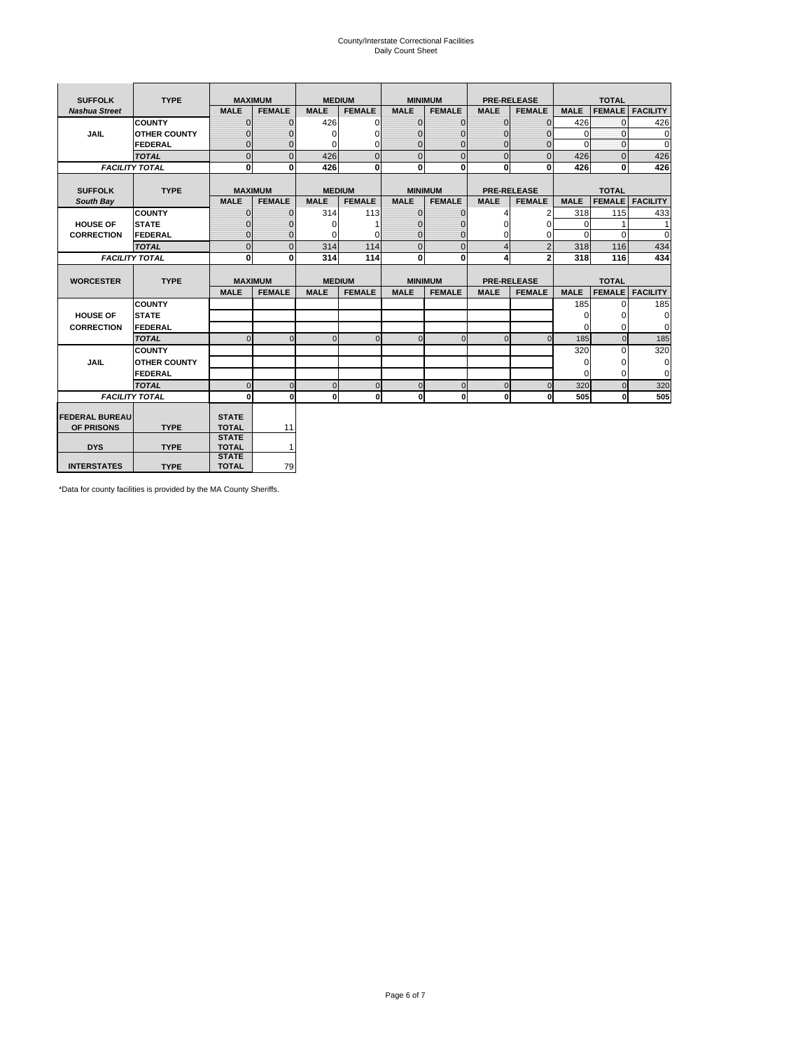# County/Interstate Correctional Facilities Daily Count Sheet

| <b>SUFFOLK</b>        | <b>TYPE</b>           |                              | <b>MAXIMUM</b> |             | <b>MEDIUM</b> |                | <b>MINIMUM</b> |                | <b>PRE-RELEASE</b> |             | <b>TOTAL</b>  |                 |
|-----------------------|-----------------------|------------------------------|----------------|-------------|---------------|----------------|----------------|----------------|--------------------|-------------|---------------|-----------------|
| <b>Nashua Street</b>  |                       | <b>MALE</b>                  | <b>FEMALE</b>  | <b>MALE</b> | <b>FEMALE</b> | <b>MALE</b>    | <b>FEMALE</b>  | <b>MALE</b>    | <b>FEMALE</b>      | <b>MALE</b> | <b>FEMALE</b> | <b>FACILITY</b> |
|                       | <b>COUNTY</b>         | $\Omega$                     | $\mathbf{0}$   | 426         | $\Omega$      | $\mathbf{0}$   | $\Omega$       | $\mathbf{0}$   | $\Omega$           | 426         | $\Omega$      | 426             |
| JAIL                  | <b>OTHER COUNTY</b>   | $\Omega$                     | $\Omega$       | $\Omega$    | 0             | $\Omega$       | $\Omega$       | $\Omega$       | $\Omega$           | $\Omega$    | $\Omega$      | 0               |
|                       | <b>FEDERAL</b>        | $\mathbf{0}$                 | $\mathbf{0}$   | 0           | 0             | $\mathbf{0}$   | $\mathbf{0}$   | $\mathbf{0}$   | $\mathbf{0}$       | $\Omega$    | 0             | 0               |
|                       | <b>TOTAL</b>          | $\Omega$                     | $\Omega$       | 426         | $\Omega$      | $\overline{0}$ | $\Omega$       | $\Omega$       | $\Omega$           | 426         | $\Omega$      | 426             |
|                       | <b>FACILITY TOTAL</b> | 0                            | $\mathbf{0}$   | 426         | 0             | $\mathbf{0}$   | $\bf{0}$       | $\mathbf{0}$   | 0                  | 426         | 0             | 426             |
|                       |                       |                              |                |             |               |                |                |                |                    |             |               |                 |
| <b>SUFFOLK</b>        | <b>TYPE</b>           |                              | <b>MAXIMUM</b> |             | <b>MEDIUM</b> |                | <b>MINIMUM</b> |                | <b>PRE-RELEASE</b> |             | <b>TOTAL</b>  |                 |
| South Bay             |                       | <b>MALE</b>                  | <b>FEMALE</b>  | <b>MALE</b> | <b>FEMALE</b> | <b>MALE</b>    | <b>FEMALE</b>  | <b>MALE</b>    | <b>FEMALE</b>      | <b>MALE</b> | <b>FEMALE</b> | <b>FACILITY</b> |
|                       | <b>COUNTY</b>         | $\Omega$                     | $\mathbf{0}$   | 314         | 113           | $\mathbf{0}$   | $\mathbf{0}$   | 4              | 2                  | 318         | 115           | 433             |
| <b>HOUSE OF</b>       | <b>STATE</b>          |                              | $\overline{0}$ | $\Omega$    |               | $\Omega$       | O              | $\Omega$       | $\Omega$           | $\Omega$    |               | 1               |
| <b>CORRECTION</b>     | <b>FEDERAL</b>        | $\Omega$                     | $\overline{0}$ | 0           | $\Omega$      | $\mathbf{0}$   | $\mathbf{0}$   | $\Omega$       | 0                  | $\Omega$    | $\Omega$      | $\Omega$        |
|                       | <b>TOTAL</b>          | $\Omega$                     | $\overline{0}$ | 314         | 114           | $\mathbf 0$    | $\mathbf{0}$   | $\overline{4}$ | $\overline{2}$     | 318         | 116           | 434             |
|                       | <b>FACILITY TOTAL</b> | 0                            | 0              | 314         | 114           | $\mathbf{0}$   | 0              | 4              | $\mathbf{2}$       | 318         | 116           | 434             |
|                       |                       |                              |                |             |               |                |                |                |                    |             |               |                 |
| <b>WORCESTER</b>      | <b>TYPE</b>           |                              | <b>MAXIMUM</b> |             | <b>MEDIUM</b> |                | <b>MINIMUM</b> |                | <b>PRE-RELEASE</b> |             | <b>TOTAL</b>  |                 |
|                       |                       | <b>MALE</b>                  | <b>FEMALE</b>  | <b>MALE</b> | <b>FEMALE</b> | <b>MALE</b>    | <b>FEMALE</b>  | <b>MALE</b>    | <b>FEMALE</b>      | <b>MALE</b> | <b>FEMALE</b> | <b>FACILITY</b> |
|                       | <b>COUNTY</b>         |                              |                |             |               |                |                |                |                    | 185         | $\Omega$      | 185             |
| <b>HOUSE OF</b>       | <b>STATE</b>          |                              |                |             |               |                |                |                |                    | 0           | 0             | 0               |
| <b>CORRECTION</b>     | FEDERAL               |                              |                |             |               |                |                |                |                    | $\Omega$    | $\Omega$      | 0               |
|                       | <b>TOTAL</b>          | $\Omega$                     | $\mathbf{0}$   | $\Omega$    | $\mathbf 0$   | $\mathbf{0}$   | $\mathbf{0}$   | $\mathbf{0}$   | $\Omega$           | 185         | $\mathbf{0}$  | 185             |
|                       | <b>COUNTY</b>         |                              |                |             |               |                |                |                |                    | 320         | $\Omega$      | 320             |
| <b>JAIL</b>           | <b>OTHER COUNTY</b>   |                              |                |             |               |                |                |                |                    | $\Omega$    | $\Omega$      | 0               |
|                       | FEDERAL               |                              |                |             |               |                |                |                |                    | $\Omega$    | $\Omega$      | $\mathbf 0$     |
|                       | <b>TOTAL</b>          | $\cap$                       | $\Omega$       | $\Omega$    | $\mathbf{0}$  | $\mathbf{0}$   | $\Omega$       | $\Omega$       | $\Omega$           | 320         | $\Omega$      | 320             |
|                       | <b>FACILITY TOTAL</b> | $\Omega$                     | 0              | $\Omega$    | 0             | $\mathbf{0}$   | $\bf{0}$       | $\mathbf{0}$   | 0                  | 505         | O             | 505             |
|                       |                       |                              |                |             |               |                |                |                |                    |             |               |                 |
| <b>FEDERAL BUREAU</b> |                       | <b>STATE</b>                 |                |             |               |                |                |                |                    |             |               |                 |
| OF PRISONS            | <b>TYPE</b>           | <b>TOTAL</b>                 | 11             |             |               |                |                |                |                    |             |               |                 |
| <b>DYS</b>            | <b>TYPE</b>           | <b>STATE</b><br><b>TOTAL</b> | $\mathbf{1}$   |             |               |                |                |                |                    |             |               |                 |
|                       |                       | <b>STATE</b>                 |                |             |               |                |                |                |                    |             |               |                 |
| <b>INTERSTATES</b>    | <b>TYPE</b>           | <b>TOTAL</b>                 | 79             |             |               |                |                |                |                    |             |               |                 |

\*Data for county facilities is provided by the MA County Sheriffs.